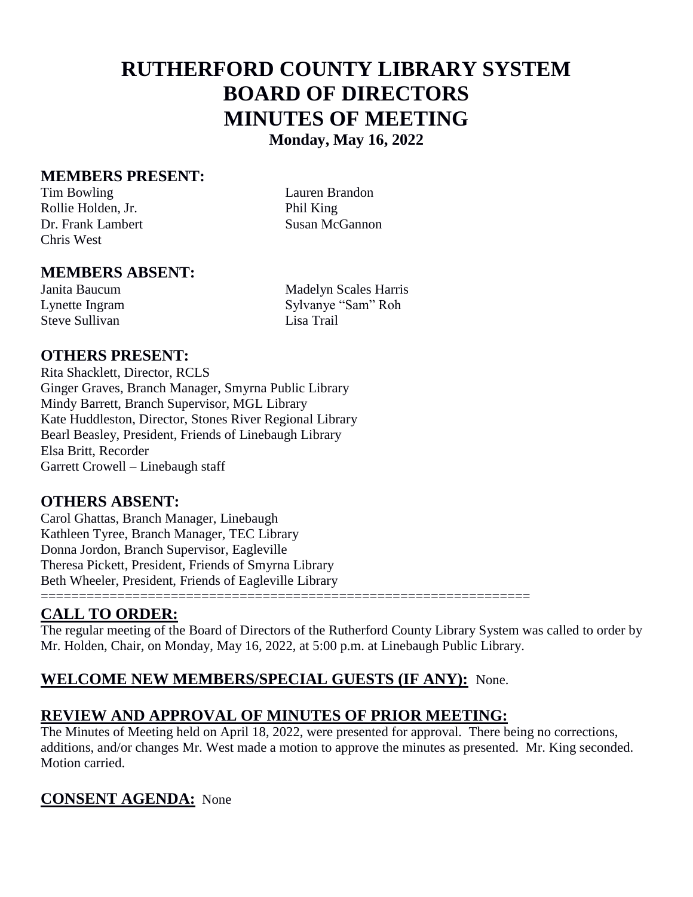# **RUTHERFORD COUNTY LIBRARY SYSTEM BOARD OF DIRECTORS MINUTES OF MEETING Monday, May 16, 2022**

#### **MEMBERS PRESENT:**

Tim Bowling Lauren Brandon Rollie Holden, Jr. Phil King Dr. Frank Lambert Susan McGannon Chris West

### **MEMBERS ABSENT:**

Steve Sullivan

Janita Baucum Madelyn Scales Harris Lynette Ingram Sylvanye "Sam" Roh<br>Steve Sullivan Lisa Trail

### **OTHERS PRESENT:**

Rita Shacklett, Director, RCLS Ginger Graves, Branch Manager, Smyrna Public Library Mindy Barrett, Branch Supervisor, MGL Library Kate Huddleston, Director, Stones River Regional Library Bearl Beasley, President, Friends of Linebaugh Library Elsa Britt, Recorder Garrett Crowell – Linebaugh staff

#### **OTHERS ABSENT:**

Carol Ghattas, Branch Manager, Linebaugh Kathleen Tyree, Branch Manager, TEC Library Donna Jordon, Branch Supervisor, Eagleville Theresa Pickett, President, Friends of Smyrna Library Beth Wheeler, President, Friends of Eagleville Library

### **CALL TO ORDER:**

The regular meeting of the Board of Directors of the Rutherford County Library System was called to order by Mr. Holden, Chair, on Monday, May 16, 2022, at 5:00 p.m. at Linebaugh Public Library.

# **WELCOME NEW MEMBERS/SPECIAL GUESTS (IF ANY):** None.

================================================================

# **REVIEW AND APPROVAL OF MINUTES OF PRIOR MEETING:**

The Minutes of Meeting held on April 18, 2022, were presented for approval. There being no corrections, additions, and/or changes Mr. West made a motion to approve the minutes as presented. Mr. King seconded. Motion carried.

# **CONSENT AGENDA:** None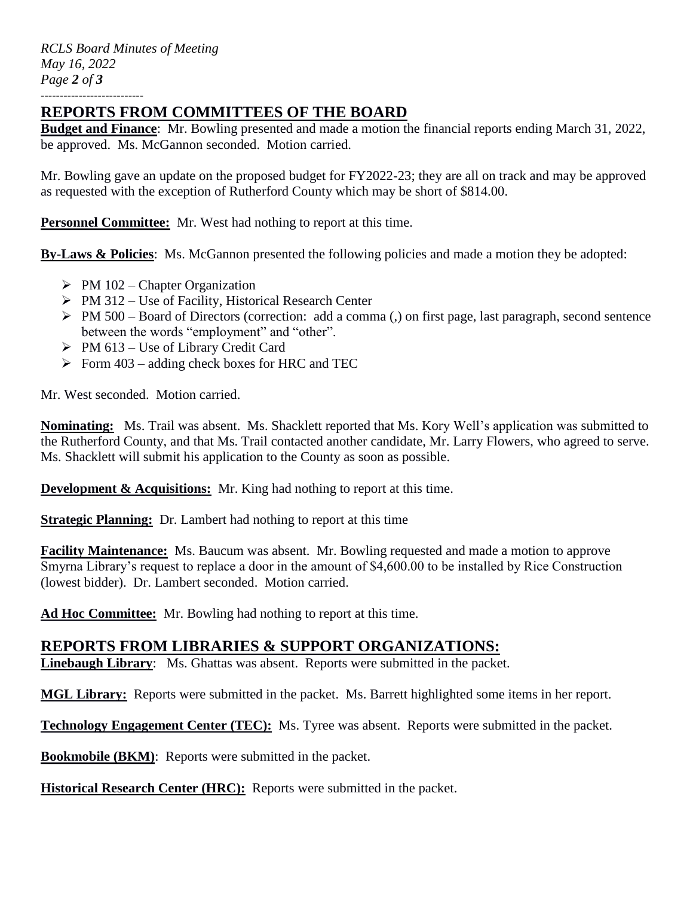*RCLS Board Minutes of Meeting May 16, 2022 Page 2 of 3* ---------------------------

### **REPORTS FROM COMMITTEES OF THE BOARD**

**Budget and Finance**: Mr. Bowling presented and made a motion the financial reports ending March 31, 2022, be approved. Ms. McGannon seconded. Motion carried.

Mr. Bowling gave an update on the proposed budget for FY2022-23; they are all on track and may be approved as requested with the exception of Rutherford County which may be short of \$814.00.

**Personnel Committee:** Mr. West had nothing to report at this time.

**By-Laws & Policies**: Ms. McGannon presented the following policies and made a motion they be adopted:

- $\triangleright$  PM 102 Chapter Organization
- $\triangleright$  PM 312 Use of Facility, Historical Research Center
- $\triangleright$  PM 500 Board of Directors (correction: add a comma (,) on first page, last paragraph, second sentence between the words "employment" and "other".
- $\triangleright$  PM 613 Use of Library Credit Card
- $\triangleright$  Form 403 adding check boxes for HRC and TEC

Mr. West seconded. Motion carried.

**Nominating:** Ms. Trail was absent. Ms. Shacklett reported that Ms. Kory Well's application was submitted to the Rutherford County, and that Ms. Trail contacted another candidate, Mr. Larry Flowers, who agreed to serve. Ms. Shacklett will submit his application to the County as soon as possible.

**Development & Acquisitions:** Mr. King had nothing to report at this time.

**Strategic Planning:** Dr. Lambert had nothing to report at this time

**Facility Maintenance:** Ms. Baucum was absent. Mr. Bowling requested and made a motion to approve Smyrna Library's request to replace a door in the amount of \$4,600.00 to be installed by Rice Construction (lowest bidder). Dr. Lambert seconded. Motion carried.

**Ad Hoc Committee:** Mr. Bowling had nothing to report at this time.

# **REPORTS FROM LIBRARIES & SUPPORT ORGANIZATIONS:**

**Linebaugh Library**: Ms. Ghattas was absent. Reports were submitted in the packet.

**MGL Library:** Reports were submitted in the packet. Ms. Barrett highlighted some items in her report.

**Technology Engagement Center (TEC):** Ms. Tyree was absent. Reports were submitted in the packet.

**Bookmobile (BKM)**: Reports were submitted in the packet.

**Historical Research Center (HRC):** Reports were submitted in the packet.